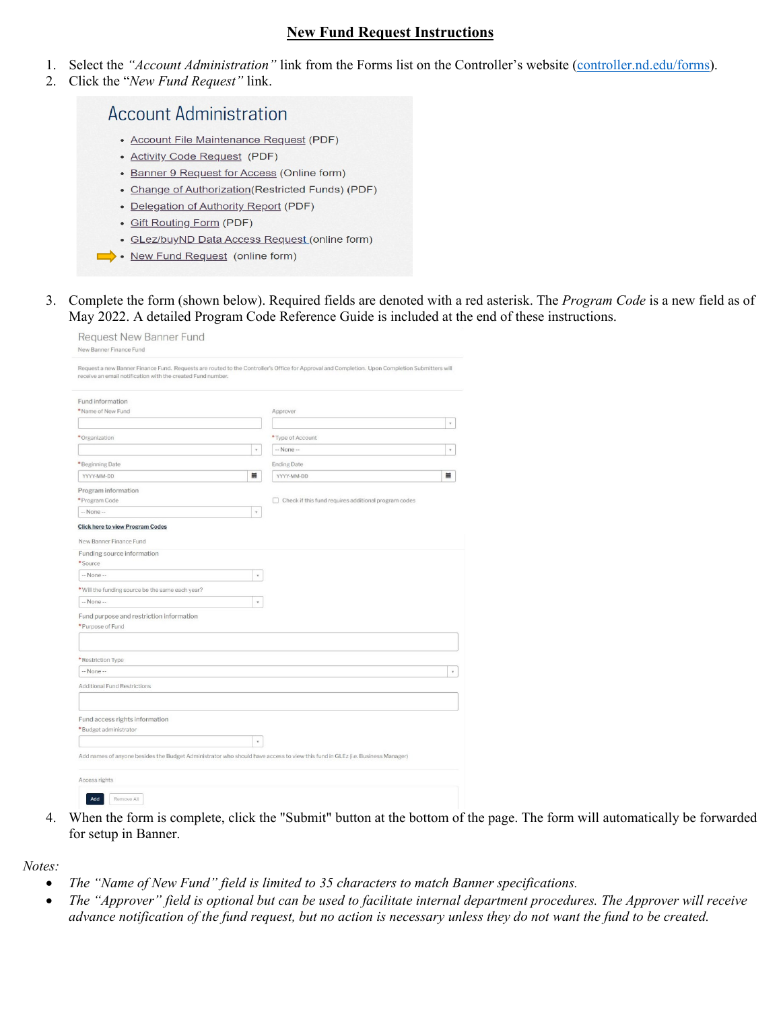## **New Fund Request Instructions**

- 1. Select the *"Account Administration"* link from the Forms list on the Controller's website [\(controller.nd.edu/forms\)](https://controller.nd.edu/forms/).
- 2. Click the "*New Fund Request"* link.

## **Account Administration**

- Account File Maintenance Request (PDF)
- Activity Code Request (PDF)
- Banner 9 Request for Access (Online form)
- Change of Authorization (Restricted Funds) (PDF)
- Delegation of Authority Report (PDF)
- Gift Routing Form (PDF)
- · GLez/buyND Data Access Request (online form)
- New Fund Request (online form)
- 3. Complete the form (shown below). Required fields are denoted with a red asterisk. The *Program Code* is a new field as of May 2022. A detailed Program Code Reference Guide is included at the end of these instructions.

| Request New Banner Fund<br>New Banner Finance Fund                                                                                                                                 |                                                                                                                                                |  |
|------------------------------------------------------------------------------------------------------------------------------------------------------------------------------------|------------------------------------------------------------------------------------------------------------------------------------------------|--|
| receive an email notification with the created Fund number.                                                                                                                        | Request a new Banner Finance Fund. Requests are routed to the Controller's Office for Approval and Completion. Upon Completion Submitters will |  |
| Fund information                                                                                                                                                                   |                                                                                                                                                |  |
| *Name of New Fund                                                                                                                                                                  | Approver                                                                                                                                       |  |
|                                                                                                                                                                                    | $\tau$                                                                                                                                         |  |
| *Organization                                                                                                                                                                      | * Type of Account                                                                                                                              |  |
| $\tau$                                                                                                                                                                             | -- None --<br>$\tau$                                                                                                                           |  |
| *Beginning Date                                                                                                                                                                    | <b>Ending Date</b>                                                                                                                             |  |
| 畐<br>YYYY-MM-DD                                                                                                                                                                    | 畐<br>YYYY-MM-DD                                                                                                                                |  |
|                                                                                                                                                                                    |                                                                                                                                                |  |
| Program information<br>* Program Code                                                                                                                                              | $\Box$ Check if this fund requires additional program codes                                                                                    |  |
| -- None --<br>$\star$                                                                                                                                                              |                                                                                                                                                |  |
| <b>Click here to view Program Codes</b>                                                                                                                                            |                                                                                                                                                |  |
| *Source<br>-- None --<br>$\overline{\chi}$<br>* Will the funding source be the same each year?<br>-- None --<br>v.<br>Fund purpose and restriction information<br>*Purpose of Fund |                                                                                                                                                |  |
| *Restriction Type<br>-- None --                                                                                                                                                    | $\check{\mathbf{v}}$                                                                                                                           |  |
|                                                                                                                                                                                    |                                                                                                                                                |  |
| <b>Additional Fund Restrictions</b>                                                                                                                                                |                                                                                                                                                |  |
| Fund access rights information<br>*Budget administrator                                                                                                                            |                                                                                                                                                |  |
| $\bar{\mathrm{v}}$<br>Add names of anyone besides the Budget Administrator who should have access to view this fund in GLEz (i.e. Business Manager)                                |                                                                                                                                                |  |
| Access rights                                                                                                                                                                      |                                                                                                                                                |  |
| Remove All<br>Add                                                                                                                                                                  |                                                                                                                                                |  |

4. When the form is complete, click the "Submit" button at the bottom of the page. The form will automatically be forwarded for setup in Banner.

*Notes:*

- *The "Name of New Fund" field is limited to 35 characters to match Banner specifications.*
- *The "Approver" field is optional but can be used to facilitate internal department procedures. The Approver will receive advance notification of the fund request, but no action is necessary unless they do not want the fund to be created.*